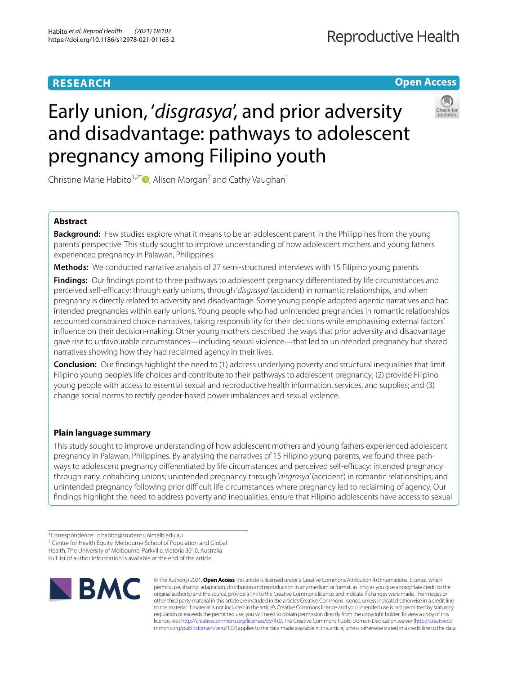# **RESEARCH**

# **Open Access**



# Early union, '*disgrasya*', and prior adversity and disadvantage: pathways to adolescent pregnancy among Filipino youth

Christine Marie Habito<sup>1,2\*</sup>  $\bullet$ [,](http://orcid.org/0000-0003-2464-7493) Alison Morgan<sup>2</sup> and Cathy Vaughan<sup>1</sup>

## **Abstract**

**Background:** Few studies explore what it means to be an adolescent parent in the Philippines from the young parents' perspective. This study sought to improve understanding of how adolescent mothers and young fathers experienced pregnancy in Palawan, Philippines.

**Methods:** We conducted narrative analysis of 27 semi-structured interviews with 15 Filipino young parents.

**Findings:** Our findings point to three pathways to adolescent pregnancy differentiated by life circumstances and perceived self-efcacy: through early unions, through '*disgrasya*' (accident) in romantic relationships, and when pregnancy is directly related to adversity and disadvantage. Some young people adopted agentic narratives and had intended pregnancies within early unions. Young people who had unintended pregnancies in romantic relationships recounted constrained choice narratives, taking responsibility for their decisions while emphasising external factors' infuence on their decision-making. Other young mothers described the ways that prior adversity and disadvantage gave rise to unfavourable circumstances—including sexual violence—that led to unintended pregnancy but shared narratives showing how they had reclaimed agency in their lives.

**Conclusion:** Our fndings highlight the need to (1) address underlying poverty and structural inequalities that limit Filipino young people's life choices and contribute to their pathways to adolescent pregnancy; (2) provide Filipino young people with access to essential sexual and reproductive health information, services, and supplies; and (3) change social norms to rectify gender-based power imbalances and sexual violence.

# **Plain language summary**

This study sought to improve understanding of how adolescent mothers and young fathers experienced adolescent pregnancy in Palawan, Philippines. By analysing the narratives of 15 Filipino young parents, we found three pathways to adolescent pregnancy differentiated by life circumstances and perceived self-efficacy: intended pregnancy through early, cohabiting unions; unintended pregnancy through '*disgrasya*' (accident) in romantic relationships; and unintended pregnancy following prior difficult life circumstances where pregnancy led to reclaiming of agency. Our fndings highlight the need to address poverty and inequalities, ensure that Filipino adolescents have access to sexual

<sup>&</sup>lt;sup>1</sup> Centre for Health Equity, Melbourne School of Population and Global Health, The University of Melbourne, Parkville, Victoria 3010, Australia Full list of author information is available at the end of the article



© The Author(s) 2021. **Open Access** This article is licensed under a Creative Commons Attribution 4.0 International License, which permits use, sharing, adaptation, distribution and reproduction in any medium or format, as long as you give appropriate credit to the original author(s) and the source, provide a link to the Creative Commons licence, and indicate if changes were made. The images or other third party material in this article are included in the article's Creative Commons licence, unless indicated otherwise in a credit line to the material. If material is not included in the article's Creative Commons licence and your intended use is not permitted by statutory regulation or exceeds the permitted use, you will need to obtain permission directly from the copyright holder. To view a copy of this licence, visit [http://creativecommons.org/licenses/by/4.0/.](http://creativecommons.org/licenses/by/4.0/) The Creative Commons Public Domain Dedication waiver ([http://creativeco](http://creativecommons.org/publicdomain/zero/1.0/) [mmons.org/publicdomain/zero/1.0/](http://creativecommons.org/publicdomain/zero/1.0/)) applies to the data made available in this article, unless otherwise stated in a credit line to the data.

<sup>\*</sup>Correspondence: c.habito@student.unimelb.edu.au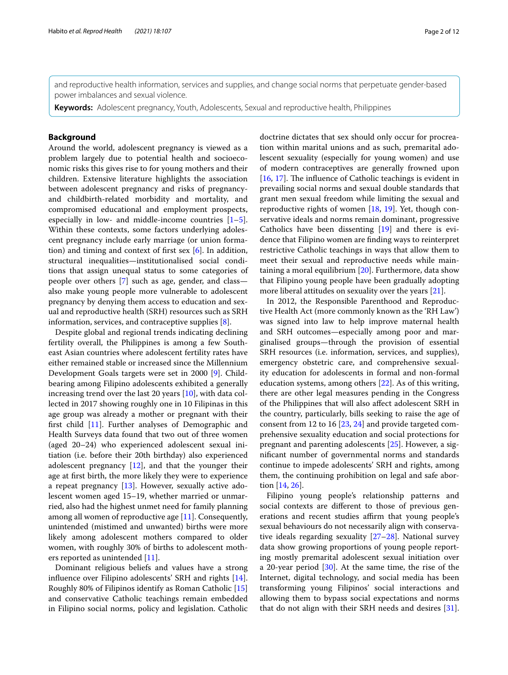and reproductive health information, services and supplies, and change social norms that perpetuate gender-based power imbalances and sexual violence.

**Keywords:** Adolescent pregnancy, Youth, Adolescents, Sexual and reproductive health, Philippines

## **Background**

Around the world, adolescent pregnancy is viewed as a problem largely due to potential health and socioeconomic risks this gives rise to for young mothers and their children. Extensive literature highlights the association between adolescent pregnancy and risks of pregnancyand childbirth-related morbidity and mortality, and compromised educational and employment prospects, especially in low- and middle-income countries  $[1-5]$  $[1-5]$ . Within these contexts, some factors underlying adolescent pregnancy include early marriage (or union formation) and timing and context of frst sex [[6\]](#page-10-2). In addition, structural inequalities—institutionalised social conditions that assign unequal status to some categories of people over others [[7\]](#page-10-3) such as age, gender, and class also make young people more vulnerable to adolescent pregnancy by denying them access to education and sexual and reproductive health (SRH) resources such as SRH information, services, and contraceptive supplies [\[8](#page-10-4)].

Despite global and regional trends indicating declining fertility overall, the Philippines is among a few Southeast Asian countries where adolescent fertility rates have either remained stable or increased since the Millennium Development Goals targets were set in 2000 [\[9](#page-10-5)]. Childbearing among Filipino adolescents exhibited a generally increasing trend over the last 20 years [[10\]](#page-10-6), with data collected in 2017 showing roughly one in 10 Filipinas in this age group was already a mother or pregnant with their frst child [\[11](#page-10-7)]. Further analyses of Demographic and Health Surveys data found that two out of three women (aged 20–24) who experienced adolescent sexual initiation (i.e. before their 20th birthday) also experienced adolescent pregnancy [\[12](#page-10-8)], and that the younger their age at frst birth, the more likely they were to experience a repeat pregnancy [\[13](#page-10-9)]. However, sexually active adolescent women aged 15–19, whether married or unmarried, also had the highest unmet need for family planning among all women of reproductive age [[11\]](#page-10-7). Consequently, unintended (mistimed and unwanted) births were more likely among adolescent mothers compared to older women, with roughly 30% of births to adolescent mothers reported as unintended [\[11](#page-10-7)].

Dominant religious beliefs and values have a strong infuence over Filipino adolescents' SRH and rights [\[14](#page-10-10)]. Roughly 80% of Filipinos identify as Roman Catholic [[15](#page-10-11)] and conservative Catholic teachings remain embedded in Filipino social norms, policy and legislation. Catholic doctrine dictates that sex should only occur for procreation within marital unions and as such, premarital adolescent sexuality (especially for young women) and use of modern contraceptives are generally frowned upon [[16,](#page-10-12) [17\]](#page-10-13). The influence of Catholic teachings is evident in prevailing social norms and sexual double standards that grant men sexual freedom while limiting the sexual and reproductive rights of women [\[18](#page-10-14), [19](#page-10-15)]. Yet, though conservative ideals and norms remain dominant, progressive Catholics have been dissenting [[19\]](#page-10-15) and there is evidence that Filipino women are fnding ways to reinterpret restrictive Catholic teachings in ways that allow them to meet their sexual and reproductive needs while maintaining a moral equilibrium [[20\]](#page-10-16). Furthermore, data show that Filipino young people have been gradually adopting more liberal attitudes on sexuality over the years [\[21](#page-10-17)].

In 2012, the Responsible Parenthood and Reproductive Health Act (more commonly known as the 'RH Law') was signed into law to help improve maternal health and SRH outcomes—especially among poor and marginalised groups—through the provision of essential SRH resources (i.e. information, services, and supplies), emergency obstetric care, and comprehensive sexuality education for adolescents in formal and non-formal education systems, among others [[22\]](#page-10-18). As of this writing, there are other legal measures pending in the Congress of the Philippines that will also afect adolescent SRH in the country, particularly, bills seeking to raise the age of consent from 12 to 16 [\[23,](#page-10-19) [24](#page-10-20)] and provide targeted comprehensive sexuality education and social protections for pregnant and parenting adolescents [\[25](#page-10-21)]. However, a signifcant number of governmental norms and standards continue to impede adolescents' SRH and rights, among them, the continuing prohibition on legal and safe abortion [[14,](#page-10-10) [26\]](#page-10-22).

Filipino young people's relationship patterns and social contexts are diferent to those of previous generations and recent studies affirm that young people's sexual behaviours do not necessarily align with conservative ideals regarding sexuality [\[27](#page-10-23)[–28\]](#page-10-24). National survey data show growing proportions of young people reporting mostly premarital adolescent sexual initiation over a 20-year period [[30\]](#page-10-25). At the same time, the rise of the Internet, digital technology, and social media has been transforming young Filipinos' social interactions and allowing them to bypass social expectations and norms that do not align with their SRH needs and desires [\[31](#page-10-26)].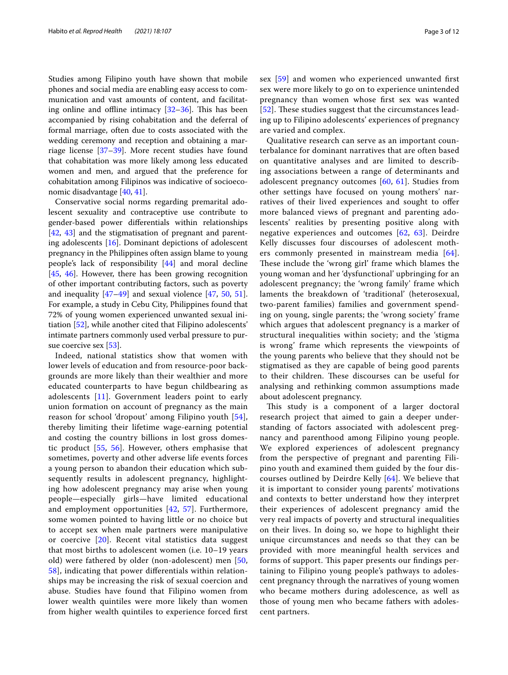Studies among Filipino youth have shown that mobile phones and social media are enabling easy access to communication and vast amounts of content, and facilitating online and offline intimacy  $[32-36]$  $[32-36]$ . This has been accompanied by rising cohabitation and the deferral of formal marriage, often due to costs associated with the wedding ceremony and reception and obtaining a marriage license [\[37–](#page-10-29)[39\]](#page-11-0). More recent studies have found that cohabitation was more likely among less educated women and men, and argued that the preference for cohabitation among Filipinos was indicative of socioeconomic disadvantage [\[40](#page-11-1), [41\]](#page-11-2).

Conservative social norms regarding premarital adolescent sexuality and contraceptive use contribute to gender-based power diferentials within relationships [[42,](#page-11-3) [43\]](#page-11-4) and the stigmatisation of pregnant and parenting adolescents [\[16](#page-10-12)]. Dominant depictions of adolescent pregnancy in the Philippines often assign blame to young people's lack of responsibility [\[44\]](#page-11-5) and moral decline [[45,](#page-11-6) [46\]](#page-11-7). However, there has been growing recognition of other important contributing factors, such as poverty and inequality  $[47-49]$  $[47-49]$  and sexual violence  $[47, 50, 51]$  $[47, 50, 51]$  $[47, 50, 51]$  $[47, 50, 51]$  $[47, 50, 51]$  $[47, 50, 51]$  $[47, 50, 51]$ . For example, a study in Cebu City, Philippines found that 72% of young women experienced unwanted sexual initiation [\[52](#page-11-12)], while another cited that Filipino adolescents' intimate partners commonly used verbal pressure to pursue coercive sex [\[53](#page-11-13)].

Indeed, national statistics show that women with lower levels of education and from resource-poor backgrounds are more likely than their wealthier and more educated counterparts to have begun childbearing as adolescents [[11](#page-10-7)]. Government leaders point to early union formation on account of pregnancy as the main reason for school 'dropout' among Filipino youth [[54\]](#page-11-14), thereby limiting their lifetime wage-earning potential and costing the country billions in lost gross domestic product [\[55](#page-11-15), [56](#page-11-16)]. However, others emphasise that sometimes, poverty and other adverse life events forces a young person to abandon their education which subsequently results in adolescent pregnancy, highlighting how adolescent pregnancy may arise when young people—especially girls—have limited educational and employment opportunities [[42](#page-11-3), [57\]](#page-11-17). Furthermore, some women pointed to having little or no choice but to accept sex when male partners were manipulative or coercive [[20](#page-10-16)]. Recent vital statistics data suggest that most births to adolescent women (i.e. 10–19 years old) were fathered by older (non-adolescent) men [\[50](#page-11-10), [58\]](#page-11-18), indicating that power diferentials within relationships may be increasing the risk of sexual coercion and abuse. Studies have found that Filipino women from lower wealth quintiles were more likely than women from higher wealth quintiles to experience forced frst sex [[59\]](#page-11-19) and women who experienced unwanted frst sex were more likely to go on to experience unintended pregnancy than women whose frst sex was wanted [[52](#page-11-12)]. These studies suggest that the circumstances leading up to Filipino adolescents' experiences of pregnancy are varied and complex.

Qualitative research can serve as an important counterbalance for dominant narratives that are often based on quantitative analyses and are limited to describing associations between a range of determinants and adolescent pregnancy outcomes [\[60](#page-11-20), [61\]](#page-11-21). Studies from other settings have focused on young mothers' narratives of their lived experiences and sought to ofer more balanced views of pregnant and parenting adolescents' realities by presenting positive along with negative experiences and outcomes [\[62](#page-11-22), [63\]](#page-11-23). Deirdre Kelly discusses four discourses of adolescent moth-ers commonly presented in mainstream media [[64](#page-11-24)]. These include the 'wrong girl' frame which blames the young woman and her 'dysfunctional' upbringing for an adolescent pregnancy; the 'wrong family' frame which laments the breakdown of 'traditional' (heterosexual, two-parent families) families and government spending on young, single parents; the 'wrong society' frame which argues that adolescent pregnancy is a marker of structural inequalities within society; and the 'stigma is wrong' frame which represents the viewpoints of the young parents who believe that they should not be stigmatised as they are capable of being good parents to their children. These discourses can be useful for analysing and rethinking common assumptions made about adolescent pregnancy.

This study is a component of a larger doctoral research project that aimed to gain a deeper understanding of factors associated with adolescent pregnancy and parenthood among Filipino young people. We explored experiences of adolescent pregnancy from the perspective of pregnant and parenting Filipino youth and examined them guided by the four discourses outlined by Deirdre Kelly [[64\]](#page-11-24). We believe that it is important to consider young parents' motivations and contexts to better understand how they interpret their experiences of adolescent pregnancy amid the very real impacts of poverty and structural inequalities on their lives. In doing so, we hope to highlight their unique circumstances and needs so that they can be provided with more meaningful health services and forms of support. This paper presents our findings pertaining to Filipino young people's pathways to adolescent pregnancy through the narratives of young women who became mothers during adolescence, as well as those of young men who became fathers with adolescent partners.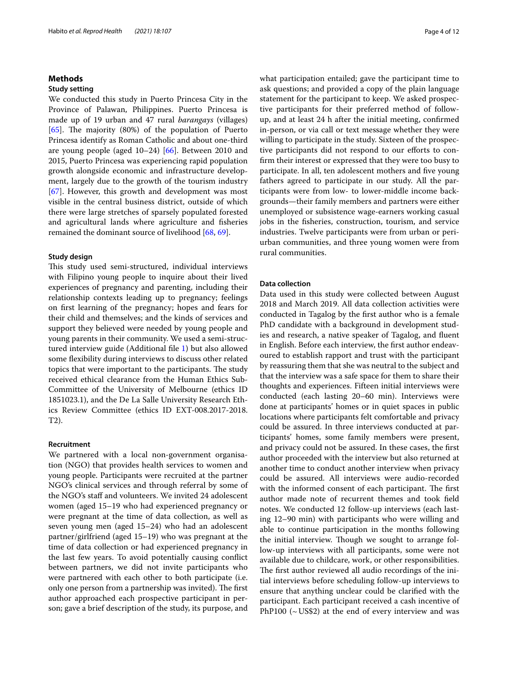## **Methods**

## **Study setting**

We conducted this study in Puerto Princesa City in the Province of Palawan, Philippines. Puerto Princesa is made up of 19 urban and 47 rural *barangays* (villages) [[65\]](#page-11-25). The majority  $(80%)$  of the population of Puerto Princesa identify as Roman Catholic and about one-third are young people (aged 10–24) [\[66](#page-11-26)]. Between 2010 and 2015, Puerto Princesa was experiencing rapid population growth alongside economic and infrastructure development, largely due to the growth of the tourism industry [[67\]](#page-11-27). However, this growth and development was most visible in the central business district, outside of which there were large stretches of sparsely populated forested and agricultural lands where agriculture and fsheries remained the dominant source of livelihood [[68,](#page-11-28) [69](#page-11-29)].

## **Study design**

This study used semi-structured, individual interviews with Filipino young people to inquire about their lived experiences of pregnancy and parenting, including their relationship contexts leading up to pregnancy; feelings on frst learning of the pregnancy; hopes and fears for their child and themselves; and the kinds of services and support they believed were needed by young people and young parents in their community. We used a semi-structured interview guide (Additional fle [1\)](#page-9-0) but also allowed some fexibility during interviews to discuss other related topics that were important to the participants. The study received ethical clearance from the Human Ethics Sub-Committee of the University of Melbourne (ethics ID 1851023.1), and the De La Salle University Research Ethics Review Committee (ethics ID EXT-008.2017-2018. T2).

#### **Recruitment**

We partnered with a local non-government organisation (NGO) that provides health services to women and young people. Participants were recruited at the partner NGO's clinical services and through referral by some of the NGO's staf and volunteers. We invited 24 adolescent women (aged 15–19 who had experienced pregnancy or were pregnant at the time of data collection, as well as seven young men (aged 15–24) who had an adolescent partner/girlfriend (aged 15–19) who was pregnant at the time of data collection or had experienced pregnancy in the last few years. To avoid potentially causing confict between partners, we did not invite participants who were partnered with each other to both participate (i.e. only one person from a partnership was invited). The first author approached each prospective participant in person; gave a brief description of the study, its purpose, and what participation entailed; gave the participant time to ask questions; and provided a copy of the plain language statement for the participant to keep. We asked prospective participants for their preferred method of followup, and at least 24 h after the initial meeting, confrmed in-person, or via call or text message whether they were willing to participate in the study. Sixteen of the prospective participants did not respond to our efforts to confrm their interest or expressed that they were too busy to participate. In all, ten adolescent mothers and five young fathers agreed to participate in our study. All the participants were from low- to lower-middle income backgrounds—their family members and partners were either unemployed or subsistence wage-earners working casual jobs in the fsheries, construction, tourism, and service industries. Twelve participants were from urban or periurban communities, and three young women were from rural communities.

## **Data collection**

Data used in this study were collected between August 2018 and March 2019. All data collection activities were conducted in Tagalog by the frst author who is a female PhD candidate with a background in development studies and research, a native speaker of Tagalog, and fuent in English. Before each interview, the frst author endeavoured to establish rapport and trust with the participant by reassuring them that she was neutral to the subject and that the interview was a safe space for them to share their thoughts and experiences. Fifteen initial interviews were conducted (each lasting 20–60 min). Interviews were done at participants' homes or in quiet spaces in public locations where participants felt comfortable and privacy could be assured. In three interviews conducted at participants' homes, some family members were present, and privacy could not be assured. In these cases, the frst author proceeded with the interview but also returned at another time to conduct another interview when privacy could be assured. All interviews were audio-recorded with the informed consent of each participant. The first author made note of recurrent themes and took feld notes. We conducted 12 follow-up interviews (each lasting 12–90 min) with participants who were willing and able to continue participation in the months following the initial interview. Though we sought to arrange follow-up interviews with all participants, some were not available due to childcare, work, or other responsibilities. The first author reviewed all audio recordings of the initial interviews before scheduling follow-up interviews to ensure that anything unclear could be clarifed with the participant. Each participant received a cash incentive of PhP100 ( $\sim$  US\$2) at the end of every interview and was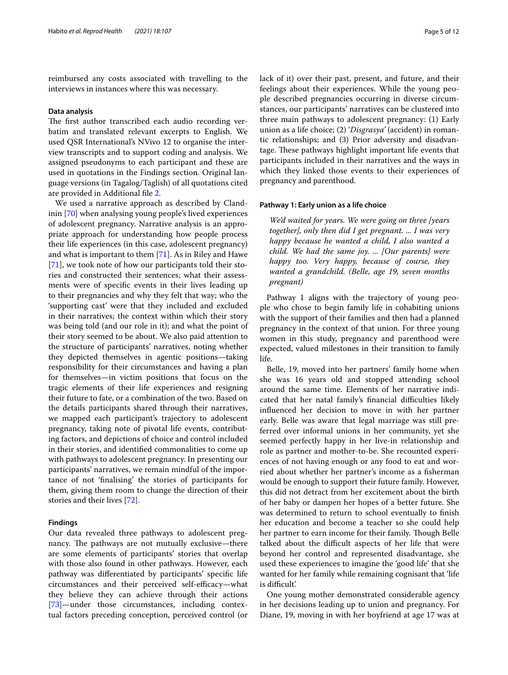reimbursed any costs associated with travelling to the interviews in instances where this was necessary.

#### **Data analysis**

The first author transcribed each audio recording verbatim and translated relevant excerpts to English. We used QSR International's NVivo 12 to organise the interview transcripts and to support coding and analysis. We assigned pseudonyms to each participant and these are used in quotations in the Findings section. Original language versions (in Tagalog/Taglish) of all quotations cited are provided in Additional fle [2](#page-9-1).

We used a narrative approach as described by Clandinin [\[70](#page-11-30)] when analysing young people's lived experiences of adolescent pregnancy. Narrative analysis is an appropriate approach for understanding how people process their life experiences (in this case, adolescent pregnancy) and what is important to them [\[71](#page-11-31)]. As in Riley and Hawe [[71\]](#page-11-31), we took note of how our participants told their stories and constructed their sentences; what their assessments were of specifc events in their lives leading up to their pregnancies and why they felt that way; who the 'supporting cast' were that they included and excluded in their narratives; the context within which their story was being told (and our role in it); and what the point of their story seemed to be about. We also paid attention to the structure of participants' narratives, noting whether they depicted themselves in agentic positions—taking responsibility for their circumstances and having a plan for themselves—in victim positions that focus on the tragic elements of their life experiences and resigning their future to fate, or a combination of the two. Based on the details participants shared through their narratives, we mapped each participant's trajectory to adolescent pregnancy, taking note of pivotal life events, contributing factors, and depictions of choice and control included in their stories, and identifed commonalities to come up with pathways to adolescent pregnancy. In presenting our participants' narratives, we remain mindful of the importance of not 'fnalising' the stories of participants for them, giving them room to change the direction of their stories and their lives [[72\]](#page-11-32).

## **Findings**

Our data revealed three pathways to adolescent pregnancy. The pathways are not mutually exclusive—there are some elements of participants' stories that overlap with those also found in other pathways. However, each pathway was diferentiated by participants' specifc life circumstances and their perceived self-efficacy—what they believe they can achieve through their actions [[73\]](#page-11-33)—under those circumstances, including contextual factors preceding conception, perceived control (or lack of it) over their past, present, and future, and their feelings about their experiences. While the young people described pregnancies occurring in diverse circumstances, our participants' narratives can be clustered into three main pathways to adolescent pregnancy: (1) Early union as a life choice; (2) '*Disgrasya'* (accident) in romantic relationships; and (3) Prior adversity and disadvantage. These pathways highlight important life events that participants included in their narratives and the ways in which they linked those events to their experiences of pregnancy and parenthood.

## **Pathway 1: Early union as a life choice**

*We'd waited for years. We were going on three [years together], only then did I get pregnant. ... I was very happy because he wanted a child, I also wanted a child. We had the same joy. ... [Our parents] were happy too. Very happy, because of course, they wanted a grandchild. (Belle, age 19, seven months pregnant)*

Pathway 1 aligns with the trajectory of young people who chose to begin family life in cohabiting unions with the support of their families and then had a planned pregnancy in the context of that union. For three young women in this study, pregnancy and parenthood were expected, valued milestones in their transition to family life.

Belle, 19, moved into her partners' family home when she was 16 years old and stopped attending school around the same time. Elements of her narrative indicated that her natal family's financial difficulties likely infuenced her decision to move in with her partner early. Belle was aware that legal marriage was still preferred over informal unions in her community, yet she seemed perfectly happy in her live-in relationship and role as partner and mother-to-be. She recounted experiences of not having enough or any food to eat and worried about whether her partner's income as a fsherman would be enough to support their future family. However, this did not detract from her excitement about the birth of her baby or dampen her hopes of a better future. She was determined to return to school eventually to fnish her education and become a teacher so she could help her partner to earn income for their family. Though Belle talked about the difficult aspects of her life that were beyond her control and represented disadvantage, she used these experiences to imagine the 'good life' that she wanted for her family while remaining cognisant that 'life is difficult'.

One young mother demonstrated considerable agency in her decisions leading up to union and pregnancy. For Diane, 19, moving in with her boyfriend at age 17 was at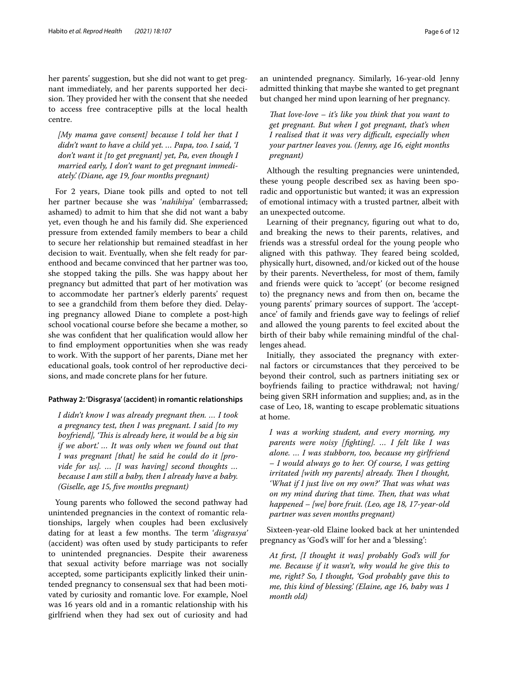her parents' suggestion, but she did not want to get pregnant immediately, and her parents supported her decision. They provided her with the consent that she needed to access free contraceptive pills at the local health centre.

*[My mama gave consent] because I told her that I didn't want to have a child yet. … Papa, too. I said, 'I don't want it [to get pregnant] yet, Pa, even though I married early, I don't want to get pregnant immediately.' (Diane, age 19, four months pregnant)*

For 2 years, Diane took pills and opted to not tell her partner because she was '*nahihiya*' (embarrassed; ashamed) to admit to him that she did not want a baby yet, even though he and his family did. She experienced pressure from extended family members to bear a child to secure her relationship but remained steadfast in her decision to wait. Eventually, when she felt ready for parenthood and became convinced that her partner was too, she stopped taking the pills. She was happy about her pregnancy but admitted that part of her motivation was to accommodate her partner's elderly parents' request to see a grandchild from them before they died. Delaying pregnancy allowed Diane to complete a post-high school vocational course before she became a mother, so she was confdent that her qualifcation would allow her to fnd employment opportunities when she was ready to work. With the support of her parents, Diane met her educational goals, took control of her reproductive decisions, and made concrete plans for her future.

### **Pathway 2: 'Disgrasya' (accident) in romantic relationships**

*I didn't know I was already pregnant then. … I took a pregnancy test, then I was pregnant. I said [to my boyfriend], 'Tis is already here, it would be a big sin if we abort.' … It was only when we found out that I was pregnant [that] he said he could do it [provide for us]. … [I was having] second thoughts … because I am still a baby, then I already have a baby. (Giselle, age 15, fve months pregnant)*

Young parents who followed the second pathway had unintended pregnancies in the context of romantic relationships, largely when couples had been exclusively dating for at least a few months. The term '*disgrasya'* (accident) was often used by study participants to refer to unintended pregnancies. Despite their awareness that sexual activity before marriage was not socially accepted, some participants explicitly linked their unintended pregnancy to consensual sex that had been motivated by curiosity and romantic love. For example, Noel was 16 years old and in a romantic relationship with his girlfriend when they had sex out of curiosity and had an unintended pregnancy. Similarly, 16-year-old Jenny admitted thinking that maybe she wanted to get pregnant but changed her mind upon learning of her pregnancy.

*Tat love-love – it's like you think that you want to get pregnant. But when I got pregnant, that's when I realised that it was very difcult, especially when your partner leaves you. (Jenny, age 16, eight months pregnant)*

Although the resulting pregnancies were unintended, these young people described sex as having been sporadic and opportunistic but wanted; it was an expression of emotional intimacy with a trusted partner, albeit with an unexpected outcome.

Learning of their pregnancy, fguring out what to do, and breaking the news to their parents, relatives, and friends was a stressful ordeal for the young people who aligned with this pathway. They feared being scolded, physically hurt, disowned, and/or kicked out of the house by their parents. Nevertheless, for most of them, family and friends were quick to 'accept' (or become resigned to) the pregnancy news and from then on, became the young parents' primary sources of support. The 'acceptance' of family and friends gave way to feelings of relief and allowed the young parents to feel excited about the birth of their baby while remaining mindful of the challenges ahead.

Initially, they associated the pregnancy with external factors or circumstances that they perceived to be beyond their control, such as partners initiating sex or boyfriends failing to practice withdrawal; not having/ being given SRH information and supplies; and, as in the case of Leo, 18, wanting to escape problematic situations at home.

*I was a working student, and every morning, my parents were noisy [fghting]. … I felt like I was alone. … I was stubborn, too, because my girlfriend – I would always go to her. Of course, I was getting irritated [with my parents] already. Then I thought,* 'What if I just live on my own?' That was what was *on my mind during that time. Then, that was what happened – [we] bore fruit. (Leo, age 18, 17-year-old partner was seven months pregnant)*

Sixteen-year-old Elaine looked back at her unintended pregnancy as 'God's will' for her and a 'blessing':

*At frst, [I thought it was] probably God's will for me. Because if it wasn't, why would he give this to me, right? So, I thought, 'God probably gave this to me, this kind of blessing.' (Elaine, age 16, baby was 1 month old)*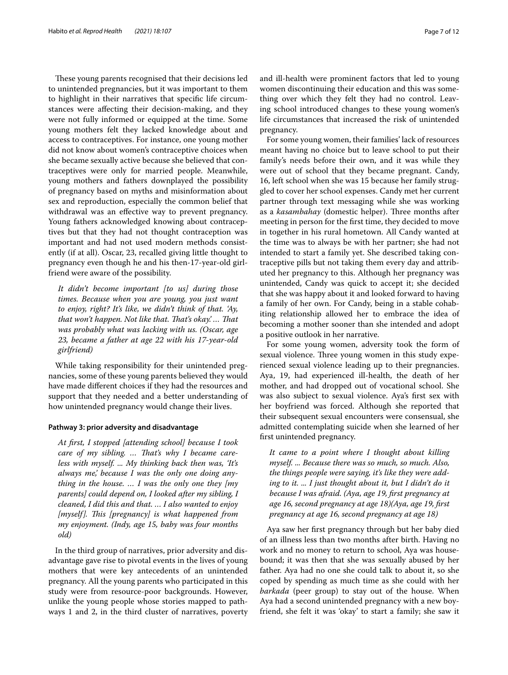These young parents recognised that their decisions led to unintended pregnancies, but it was important to them to highlight in their narratives that specifc life circumstances were afecting their decision-making, and they were not fully informed or equipped at the time. Some young mothers felt they lacked knowledge about and access to contraceptives. For instance, one young mother did not know about women's contraceptive choices when she became sexually active because she believed that contraceptives were only for married people. Meanwhile, young mothers and fathers downplayed the possibility of pregnancy based on myths and misinformation about sex and reproduction, especially the common belief that withdrawal was an efective way to prevent pregnancy. Young fathers acknowledged knowing about contraceptives but that they had not thought contraception was important and had not used modern methods consistently (if at all). Oscar, 23, recalled giving little thought to pregnancy even though he and his then-17-year-old girlfriend were aware of the possibility.

*It didn't become important [to us] during those times. Because when you are young, you just want to enjoy, right? It's like, we didn't think of that. 'Ay, that won't happen. Not like that. That's okay'.... That was probably what was lacking with us. (Oscar, age 23, became a father at age 22 with his 17-year-old girlfriend)*

While taking responsibility for their unintended pregnancies, some of these young parents believed they would have made diferent choices if they had the resources and support that they needed and a better understanding of how unintended pregnancy would change their lives.

## **Pathway 3: prior adversity and disadvantage**

*At frst, I stopped [attending school] because I took*  care of my sibling. ... That's why I became care*less with myself. ... My thinking back then was, 'It's always me,' because I was the only one doing anything in the house. … I was the only one they [my parents] could depend on, I looked after my sibling, I cleaned, I did this and that. … I also wanted to enjoy [myself]. Tis [pregnancy] is what happened from my enjoyment. (Indy, age 15, baby was four months old)*

In the third group of narratives, prior adversity and disadvantage gave rise to pivotal events in the lives of young mothers that were key antecedents of an unintended pregnancy. All the young parents who participated in this study were from resource-poor backgrounds. However, unlike the young people whose stories mapped to pathways 1 and 2, in the third cluster of narratives, poverty and ill-health were prominent factors that led to young women discontinuing their education and this was something over which they felt they had no control. Leaving school introduced changes to these young women's life circumstances that increased the risk of unintended pregnancy.

For some young women, their families' lack of resources meant having no choice but to leave school to put their family's needs before their own, and it was while they were out of school that they became pregnant. Candy, 16, left school when she was 15 because her family struggled to cover her school expenses. Candy met her current partner through text messaging while she was working as a *kasambahay* (domestic helper). Three months after meeting in person for the frst time, they decided to move in together in his rural hometown. All Candy wanted at the time was to always be with her partner; she had not intended to start a family yet. She described taking contraceptive pills but not taking them every day and attributed her pregnancy to this. Although her pregnancy was unintended, Candy was quick to accept it; she decided that she was happy about it and looked forward to having a family of her own. For Candy, being in a stable cohabiting relationship allowed her to embrace the idea of becoming a mother sooner than she intended and adopt a positive outlook in her narrative.

For some young women, adversity took the form of sexual violence. Three young women in this study experienced sexual violence leading up to their pregnancies. Aya, 19, had experienced ill-health, the death of her mother, and had dropped out of vocational school. She was also subject to sexual violence. Aya's frst sex with her boyfriend was forced. Although she reported that their subsequent sexual encounters were consensual, she admitted contemplating suicide when she learned of her frst unintended pregnancy.

*It came to a point where I thought about killing myself. ... Because there was so much, so much. Also, the things people were saying, it's like they were adding to it. ... I just thought about it, but I didn't do it because I was afraid. (Aya, age 19, frst pregnancy at age 16, second pregnancy at age 18)(Aya, age 19, frst pregnancy at age 16, second pregnancy at age 18)*

Aya saw her frst pregnancy through but her baby died of an illness less than two months after birth. Having no work and no money to return to school, Aya was housebound; it was then that she was sexually abused by her father. Aya had no one she could talk to about it, so she coped by spending as much time as she could with her *barkada* (peer group) to stay out of the house. When Aya had a second unintended pregnancy with a new boyfriend, she felt it was 'okay' to start a family; she saw it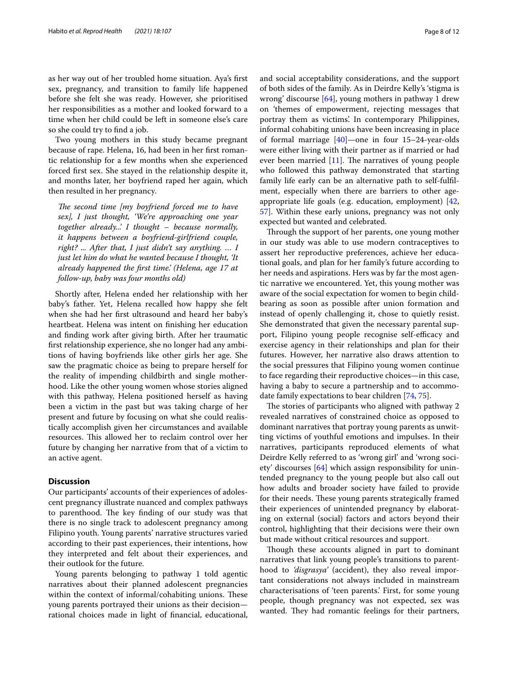as her way out of her troubled home situation. Aya's frst sex, pregnancy, and transition to family life happened before she felt she was ready. However, she prioritised her responsibilities as a mother and looked forward to a time when her child could be left in someone else's care so she could try to fnd a job.

Two young mothers in this study became pregnant because of rape. Helena, 16, had been in her frst romantic relationship for a few months when she experienced forced frst sex. She stayed in the relationship despite it, and months later, her boyfriend raped her again, which then resulted in her pregnancy.

*The second time [my boyfriend forced me to have sex], I just thought, 'We're approaching one year together already...' I thought – because normally, it happens between a boyfriend-girlfriend couple, right? ... After that, I just didn't say anything. … I just let him do what he wanted because I thought, 'It already happened the frst time.' (Helena, age 17 at follow-up, baby was four months old)*

Shortly after, Helena ended her relationship with her baby's father. Yet, Helena recalled how happy she felt when she had her frst ultrasound and heard her baby's heartbeat. Helena was intent on fnishing her education and fnding work after giving birth. After her traumatic frst relationship experience, she no longer had any ambitions of having boyfriends like other girls her age. She saw the pragmatic choice as being to prepare herself for the reality of impending childbirth and single motherhood. Like the other young women whose stories aligned with this pathway, Helena positioned herself as having been a victim in the past but was taking charge of her present and future by focusing on what she could realistically accomplish given her circumstances and available resources. This allowed her to reclaim control over her future by changing her narrative from that of a victim to an active agent.

#### **Discussion**

Our participants' accounts of their experiences of adolescent pregnancy illustrate nuanced and complex pathways to parenthood. The key finding of our study was that there is no single track to adolescent pregnancy among Filipino youth. Young parents' narrative structures varied according to their past experiences, their intentions, how they interpreted and felt about their experiences, and their outlook for the future.

Young parents belonging to pathway 1 told agentic narratives about their planned adolescent pregnancies within the context of informal/cohabiting unions. These young parents portrayed their unions as their decision rational choices made in light of fnancial, educational, and social acceptability considerations, and the support of both sides of the family. As in Deirdre Kelly's 'stigma is wrong' discourse [\[64](#page-11-24)], young mothers in pathway 1 drew on 'themes of empowerment, rejecting messages that portray them as victims'. In contemporary Philippines, informal cohabiting unions have been increasing in place of formal marriage [[40](#page-11-1)]—one in four 15–24-year-olds were either living with their partner as if married or had ever been married  $[11]$  $[11]$ . The narratives of young people who followed this pathway demonstrated that starting family life early can be an alternative path to self-fulflment, especially when there are barriers to other ageappropriate life goals (e.g. education, employment) [[42](#page-11-3), [57\]](#page-11-17). Within these early unions, pregnancy was not only expected but wanted and celebrated.

Through the support of her parents, one young mother in our study was able to use modern contraceptives to assert her reproductive preferences, achieve her educational goals, and plan for her family's future according to her needs and aspirations. Hers was by far the most agentic narrative we encountered. Yet, this young mother was aware of the social expectation for women to begin childbearing as soon as possible after union formation and instead of openly challenging it, chose to quietly resist. She demonstrated that given the necessary parental support, Filipino young people recognise self-efficacy and exercise agency in their relationships and plan for their futures. However, her narrative also draws attention to the social pressures that Filipino young women continue to face regarding their reproductive choices—in this case, having a baby to secure a partnership and to accommodate family expectations to bear children [\[74](#page-11-34), [75](#page-11-35)].

The stories of participants who aligned with pathway 2 revealed narratives of constrained choice as opposed to dominant narratives that portray young parents as unwitting victims of youthful emotions and impulses. In their narratives, participants reproduced elements of what Deirdre Kelly referred to as 'wrong girl' and 'wrong society' discourses [\[64\]](#page-11-24) which assign responsibility for unintended pregnancy to the young people but also call out how adults and broader society have failed to provide for their needs. These young parents strategically framed their experiences of unintended pregnancy by elaborating on external (social) factors and actors beyond their control, highlighting that their decisions were their own but made without critical resources and support.

Though these accounts aligned in part to dominant narratives that link young people's transitions to parenthood to *'disgrasya'* (accident), they also reveal important considerations not always included in mainstream characterisations of 'teen parents.' First, for some young people, though pregnancy was not expected, sex was wanted. They had romantic feelings for their partners,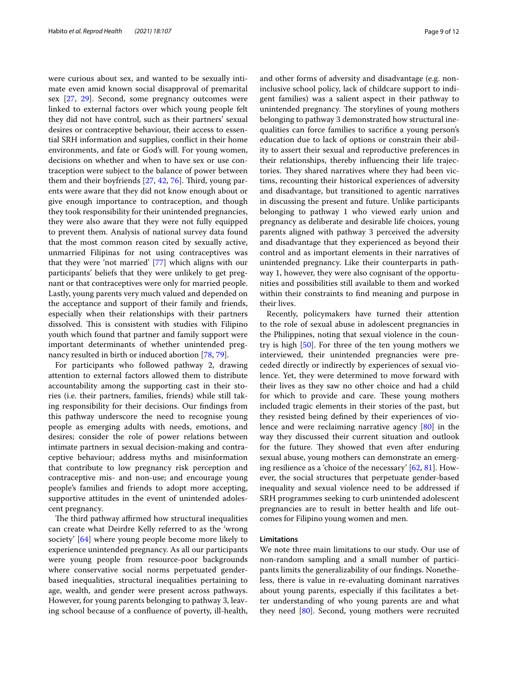were curious about sex, and wanted to be sexually intimate even amid known social disapproval of premarital sex [[27,](#page-10-23) [29\]](#page-10-24). Second, some pregnancy outcomes were linked to external factors over which young people felt they did not have control, such as their partners' sexual desires or contraceptive behaviour, their access to essential SRH information and supplies, confict in their home environments, and fate or God's will. For young women, decisions on whether and when to have sex or use contraception were subject to the balance of power between them and their boyfriends  $[27, 42, 76]$  $[27, 42, 76]$  $[27, 42, 76]$  $[27, 42, 76]$  $[27, 42, 76]$  $[27, 42, 76]$ . Third, young parents were aware that they did not know enough about or give enough importance to contraception, and though they took responsibility for their unintended pregnancies, they were also aware that they were not fully equipped to prevent them. Analysis of national survey data found that the most common reason cited by sexually active, unmarried Filipinas for not using contraceptives was that they were 'not married' [\[77\]](#page-11-37) which aligns with our participants' beliefs that they were unlikely to get pregnant or that contraceptives were only for married people. Lastly, young parents very much valued and depended on the acceptance and support of their family and friends, especially when their relationships with their partners dissolved. This is consistent with studies with Filipino youth which found that partner and family support were important determinants of whether unintended pregnancy resulted in birth or induced abortion [[78,](#page-11-38) [79](#page-11-39)].

For participants who followed pathway 2, drawing attention to external factors allowed them to distribute accountability among the supporting cast in their stories (i.e. their partners, families, friends) while still taking responsibility for their decisions. Our fndings from this pathway underscore the need to recognise young people as emerging adults with needs, emotions, and desires; consider the role of power relations between intimate partners in sexual decision-making and contraceptive behaviour; address myths and misinformation that contribute to low pregnancy risk perception and contraceptive mis- and non-use; and encourage young people's families and friends to adopt more accepting, supportive attitudes in the event of unintended adolescent pregnancy.

The third pathway affirmed how structural inequalities can create what Deirdre Kelly referred to as the 'wrong society' [[64\]](#page-11-24) where young people become more likely to experience unintended pregnancy. As all our participants were young people from resource-poor backgrounds where conservative social norms perpetuated genderbased inequalities, structural inequalities pertaining to age, wealth, and gender were present across pathways. However, for young parents belonging to pathway 3, leaving school because of a confuence of poverty, ill-health, and other forms of adversity and disadvantage (e.g. noninclusive school policy, lack of childcare support to indigent families) was a salient aspect in their pathway to unintended pregnancy. The storylines of young mothers belonging to pathway 3 demonstrated how structural inequalities can force families to sacrifce a young person's education due to lack of options or constrain their ability to assert their sexual and reproductive preferences in their relationships, thereby infuencing their life trajectories. They shared narratives where they had been victims, recounting their historical experiences of adversity and disadvantage, but transitioned to agentic narratives in discussing the present and future. Unlike participants belonging to pathway 1 who viewed early union and pregnancy as deliberate and desirable life choices, young parents aligned with pathway 3 perceived the adversity and disadvantage that they experienced as beyond their control and as important elements in their narratives of unintended pregnancy. Like their counterparts in pathway 1, however, they were also cognisant of the opportunities and possibilities still available to them and worked within their constraints to fnd meaning and purpose in their lives.

Recently, policymakers have turned their attention to the role of sexual abuse in adolescent pregnancies in the Philippines, noting that sexual violence in the country is high [\[50\]](#page-11-10). For three of the ten young mothers we interviewed, their unintended pregnancies were preceded directly or indirectly by experiences of sexual violence. Yet, they were determined to move forward with their lives as they saw no other choice and had a child for which to provide and care. These young mothers included tragic elements in their stories of the past, but they resisted being defned by their experiences of violence and were reclaiming narrative agency [\[80](#page-11-40)] in the way they discussed their current situation and outlook for the future. They showed that even after enduring sexual abuse, young mothers can demonstrate an emerging resilience as a 'choice of the necessary' [[62,](#page-11-22) [81](#page-11-41)]. However, the social structures that perpetuate gender-based inequality and sexual violence need to be addressed if SRH programmes seeking to curb unintended adolescent pregnancies are to result in better health and life outcomes for Filipino young women and men.

## **Limitations**

We note three main limitations to our study. Our use of non-random sampling and a small number of participants limits the generalizability of our fndings. Nonetheless, there is value in re-evaluating dominant narratives about young parents, especially if this facilitates a better understanding of who young parents are and what they need [[80\]](#page-11-40). Second, young mothers were recruited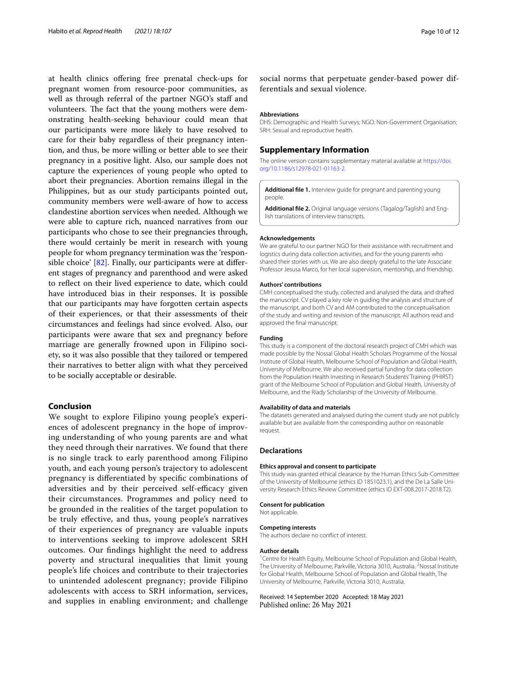at health clinics ofering free prenatal check-ups for pregnant women from resource-poor communities, as well as through referral of the partner NGO's staff and volunteers. The fact that the young mothers were demonstrating health-seeking behaviour could mean that our participants were more likely to have resolved to care for their baby regardless of their pregnancy intention, and thus, be more willing or better able to see their pregnancy in a positive light. Also, our sample does not capture the experiences of young people who opted to abort their pregnancies. Abortion remains illegal in the Philippines, but as our study participants pointed out, community members were well-aware of how to access clandestine abortion services when needed. Although we were able to capture rich, nuanced narratives from our participants who chose to see their pregnancies through, there would certainly be merit in research with young people for whom pregnancy termination was the 'responsible choice' [[82\]](#page-11-42). Finally, our participants were at diferent stages of pregnancy and parenthood and were asked to refect on their lived experience to date, which could have introduced bias in their responses. It is possible that our participants may have forgotten certain aspects of their experiences, or that their assessments of their circumstances and feelings had since evolved. Also, our participants were aware that sex and pregnancy before marriage are generally frowned upon in Filipino society, so it was also possible that they tailored or tempered their narratives to better align with what they perceived to be socially acceptable or desirable.

## **Conclusion**

We sought to explore Filipino young people's experiences of adolescent pregnancy in the hope of improving understanding of who young parents are and what they need through their narratives. We found that there is no single track to early parenthood among Filipino youth, and each young person's trajectory to adolescent pregnancy is diferentiated by specifc combinations of adversities and by their perceived self-efficacy given their circumstances. Programmes and policy need to be grounded in the realities of the target population to be truly efective, and thus, young people's narratives of their experiences of pregnancy are valuable inputs to interventions seeking to improve adolescent SRH outcomes. Our fndings highlight the need to address poverty and structural inequalities that limit young people's life choices and contribute to their trajectories to unintended adolescent pregnancy; provide Filipino adolescents with access to SRH information, services, and supplies in enabling environment; and challenge social norms that perpetuate gender-based power differentials and sexual violence.

#### **Abbreviations**

DHS: Demographic and Health Surveys; NGO: Non-Government Organisation; SRH: Sexual and reproductive health.

### **Supplementary Information**

The online version contains supplementary material available at [https://doi.](https://doi.org/10.1186/s12978-021-01163-2) [org/10.1186/s12978-021-01163-2](https://doi.org/10.1186/s12978-021-01163-2).

<span id="page-9-1"></span><span id="page-9-0"></span>**Additional fle 1.** Interview guide for pregnant and parenting young people.

**Additional fle 2.** Original language versions (Tagalog/Taglish) and English translations of interview transcripts.

#### **Acknowledgements**

We are grateful to our partner NGO for their assistance with recruitment and logistics during data collection activities, and for the young parents who shared their stories with us. We are also deeply grateful to the late Associate Professor Jesusa Marco, for her local supervision, mentorship, and friendship.

#### **Authors' contributions**

CMH conceptualised the study, collected and analysed the data, and drafted the manuscript. CV played a key role in guiding the analysis and structure of the manuscript, and both CV and AM contributed to the conceptualisation of the study and writing and revision of the manuscript. All authors read and approved the fnal manuscript.

#### **Funding**

This study is a component of the doctoral research project of CMH which was made possible by the Nossal Global Health Scholars Programme of the Nossal Institute of Global Health, Melbourne School of Population and Global Health, University of Melbourne. We also received partial funding for data collection from the Population Health Investing in Research Students' Training (PHIRST) grant of the Melbourne School of Population and Global Health, University of Melbourne, and the Riady Scholarship of the University of Melbourne.

#### **Availability of data and materials**

The datasets generated and analysed during the current study are not publicly available but are available from the corresponding author on reasonable request.

#### **Declarations**

#### **Ethics approval and consent to participate**

This study was granted ethical clearance by the Human Ethics Sub-Committee of the University of Melbourne (ethics ID 1851023.1), and the De La Salle University Research Ethics Review Committee (ethics ID EXT-008.2017-2018.T2).

#### **Consent for publication**

Not applicable.

#### **Competing interests**

The authors declare no confict of interest.

#### **Author details**

<sup>1</sup> Centre for Health Equity, Melbourne School of Population and Global Health, The University of Melbourne, Parkville, Victoria 3010, Australia. <sup>2</sup>Nossal Institute for Global Health, Melbourne School of Population and Global Health, The University of Melbourne, Parkville, Victoria 3010, Australia.

#### Received: 14 September 2020 Accepted: 18 May 2021Published online: 26 May 2021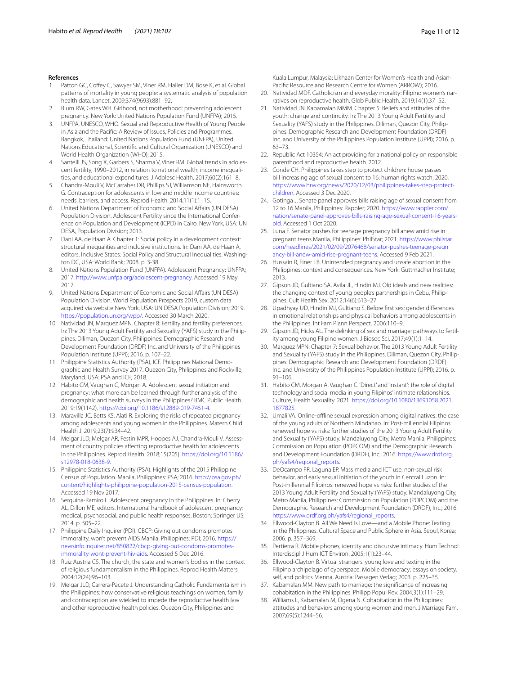- <span id="page-10-0"></span>1. Patton GC, Coffey C, Sawyer SM, Viner RM, Haller DM, Bose K, et al. Global patterns of mortality in young people: a systematic analysis of population health data. Lancet. 2009;374(9693):881–92.
- 2. Blum RW, Gates WH. Girlhood, not motherhood: preventing adolescent pregnancy. New York: United Nations Population Fund (UNFPA); 2015.
- 3. UNFPA, UNESCO, WHO. Sexual and Reproductive Health of Young People in Asia and the Pacifc: A Review of Issues, Policies and Programmes. Bangkok, Thailand: United Nations Population Fund (UNFPA), United Nations Educational, Scientifc and Cultural Organization (UNESCO) and World Health Organization (WHO); 2015.
- 4. Santelli JS, Song X, Garbers S, Sharma V, Viner RM. Global trends in adolescent fertility, 1990–2012, in relation to national wealth, income inequalities, and educational expenditures. J Adolesc Health. 2017;60(2):161–8.
- <span id="page-10-1"></span>5. Chandra-Mouli V, McCarraher DR, Phillips SJ, Williamson NE, Hainsworth G. Contraception for adolescents in low and middle income countries: needs, barriers, and access. Reprod Health. 2014;11(1):1–15.
- <span id="page-10-2"></span>6. United Nations Department of Economic and Social Afairs (UN DESA) Population Division. Adolescent Fertility since the International Conference on Population and Development (ICPD) in Cairo. New York, USA: UN DESA, Population Division; 2013.
- <span id="page-10-3"></span>7. Dani AA, de Haan A. Chapter 1: Social policy in a development context: structural inequalities and inclusive institutions. In: Dani AA, de Haan A, editors. Inclusive States: Social Policy and Structural Inequalities. Washington DC, USA: World Bank; 2008. p. 3-38.
- <span id="page-10-4"></span>8. United Nations Population Fund (UNFPA). Adolescent Pregnancy: UNFPA; 2017. [http://www.unfpa.org/adolescent-pregnancy.](http://www.unfpa.org/adolescent-pregnancy) Accessed 19 May 2017.
- <span id="page-10-5"></span>United Nations Department of Economic and Social Affairs (UN DESA) Population Division. World Population Prospects 2019, custom data acquired via website New York, USA: UN DESA Population Division; 2019. [https://population.un.org/wpp/.](https://population.un.org/wpp/) Accessed 30 March 2020.
- <span id="page-10-6"></span>10. Natividad JN, Marquez MPN. Chapter 8: Fertility and fertility preferences. In: The 2013 Young Adult Fertility and Sexuality (YAFS) study in the Philippines. Diliman, Quezon City, Philippines: Demographic Research and Development Foundation (DRDF) Inc. and University of the Philippines Population Institute (UPPI); 2016. p. 107–22.
- <span id="page-10-7"></span>11. Philippine Statistics Authority (PSA), ICF. Philippines National Demographic and Health Survey 2017. Quezon City, Philippines and Rockville, Maryland. USA: PSA and ICF; 2018.
- <span id="page-10-8"></span>12. Habito CM, Vaughan C, Morgan A. Adolescent sexual initiation and pregnancy: what more can be learned through further analysis of the demographic and health surveys in the Philippines? BMC Public Health. 2019;19(1142). <https://doi.org/10.1186/s12889-019-7451-4>.
- <span id="page-10-9"></span>13. Maravilla JC, Betts KS, Alati R. Exploring the risks of repeated pregnancy among adolescents and young women in the Philippines. Matern Child Health J. 2019;23(7):934–42.
- <span id="page-10-10"></span>14. Melgar JLD, Melgar AR, Festin MPR, Hoopes AJ, Chandra-Mouli V. Assessment of country policies afecting reproductive health for adolescents in the Philippines. Reprod Health. 2018;15(205). [https://doi.org/10.1186/](https://doi.org/10.1186/s12978-018-0638-9) [s12978-018-0638-9.](https://doi.org/10.1186/s12978-018-0638-9)
- <span id="page-10-11"></span>15. Philippine Statistics Authority (PSA). Highlights of the 2015 Philippine Census of Population. Manila, Philippines: PSA; 2016. [http://psa.gov.ph/](http://psa.gov.ph/content/highlights-philippine-population-2015-census-population) [content/highlights-philippine-population-2015-census-population](http://psa.gov.ph/content/highlights-philippine-population-2015-census-population). Accessed 19 Nov 2017.
- <span id="page-10-12"></span>16. Serquina-Ramiro L. Adolescent pregnancy in the Philippines. In: Cherry AL, Dillon ME, editors. International handbook of adolescent pregnancy: medical, psychosocial, and public health responses. Boston: Springer US; 2014. p. 505–22.
- <span id="page-10-13"></span>17. Philippine Daily Inquirer (PDI). CBCP: Giving out condoms promotes immorality, won't prevent AIDS Manila, Philippines: PDI; 2016. [https://](https://newsinfo.inquirer.net/850822/cbcp-giving-out-condoms-promotes-immorality-wont-prevent-hiv-aids) [newsinfo.inquirer.net/850822/cbcp-giving-out-condoms-promotes](https://newsinfo.inquirer.net/850822/cbcp-giving-out-condoms-promotes-immorality-wont-prevent-hiv-aids)[immorality-wont-prevent-hiv-aids](https://newsinfo.inquirer.net/850822/cbcp-giving-out-condoms-promotes-immorality-wont-prevent-hiv-aids). Accessed 5 Dec 2016.
- <span id="page-10-14"></span>18. Ruiz Austria CS. The church, the state and women's bodies in the context of religious fundamentalism in the Philippines. Reprod Health Matters. 2004;12(24):96–103.
- <span id="page-10-15"></span>19. Melgar JLD, Carrera-Pacete J. Understanding Catholic Fundamentalism in the Philippines: how conservative religious teachings on women, family and contraception are wielded to impede the reproductive health law and other reproductive health policies. Quezon City, Philippines and

Kuala Lumpur, Malaysia: Likhaan Center for Women's Health and Asian-Pacifc Resource and Research Centre for Women (ARROW); 2016.

- <span id="page-10-16"></span>20. Natividad MDF. Catholicism and everyday morality: Filipino women's narratives on reproductive health. Glob Public Health. 2019;14(1):37–52.
- <span id="page-10-17"></span>21. Natividad JN, Kabamalan MMM. Chapter 5: Beliefs and attitudes of the youth: change and continuity. In: The 2013 Young Adult Fertility and Sexuality (YAFS) study in the Philippines. Diliman, Quezon City, Philippines: Demographic Research and Development Foundation (DRDF) Inc. and University of the Philippines Population Institute (UPPI); 2016. p. 63–73.
- <span id="page-10-18"></span>22. Republic Act 10354: An act providing for a national policy on responsible parenthood and reproductive health. 2012.
- <span id="page-10-19"></span>23. Conde CH. Philippines takes step to protect children: house passes bill increasing age of sexual consent to 16: human rights watch; 2020. [https://www.hrw.org/news/2020/12/03/philippines-takes-step-protect](https://www.hrw.org/news/2020/12/03/philippines-takes-step-protect-children)[children](https://www.hrw.org/news/2020/12/03/philippines-takes-step-protect-children). Accessed 3 Dec 2020.
- <span id="page-10-20"></span>24. Gotinga J. Senate panel approves bills raising age of sexual consent from 12 to 16 Manila, Philippines: Rappler; 2020. [https://www.rappler.com/](https://www.rappler.com/nation/senate-panel-approves-bills-raising-age-sexual-consent-16-years-old) [nation/senate-panel-approves-bills-raising-age-sexual-consent-16-years](https://www.rappler.com/nation/senate-panel-approves-bills-raising-age-sexual-consent-16-years-old)[old](https://www.rappler.com/nation/senate-panel-approves-bills-raising-age-sexual-consent-16-years-old). Accessed 1 Oct 2020.
- <span id="page-10-21"></span>25. Luna F. Senator pushes for teenage pregnancy bill anew amid rise in pregnant teens Manila, Philippines: PhilStar; 2021. [https://www.philstar.](https://www.philstar.com/headlines/2021/02/09/2076468/senator-pushes-teenage-pregnancy-bill-anew-amid-rise-pregnant-teens) [com/headlines/2021/02/09/2076468/senator-pushes-teenage-pregn](https://www.philstar.com/headlines/2021/02/09/2076468/senator-pushes-teenage-pregnancy-bill-anew-amid-rise-pregnant-teens) [ancy-bill-anew-amid-rise-pregnant-teens](https://www.philstar.com/headlines/2021/02/09/2076468/senator-pushes-teenage-pregnancy-bill-anew-amid-rise-pregnant-teens). Accessed 9 Feb 2021.
- <span id="page-10-22"></span>26. Hussain R, Finer LB. Unintended pregnancy and unsafe abortion in the Philippines: context and consequences. New York: Guttmacher Institute; 2013.
- <span id="page-10-23"></span>27. Gipson JD, Gultiano SA, Avila JL, Hindin MJ. Old ideals and new realities: the changing context of young people's partnerships in Cebu, Philippines. Cult Health Sex. 2012;14(6):613–27.
- 28. Upadhyay UD, Hindin MJ, Gultiano S. Before frst sex: gender diferences in emotional relationships and physical behaviors among adolescents in the Philippines. Int Fam Plann Perspect. 2006:110–9.
- <span id="page-10-24"></span>29. Gipson JD, Hicks AL. The delinking of sex and marriage: pathways to fertility among young Filipino women. J Biosoc Sci. 2017;49(1):1–14.
- <span id="page-10-25"></span>30. Marquez MPN. Chapter 7: Sexual behavior. The 2013 Young Adult Fertility and Sexuality (YAFS) study in the Philippines. Diliman, Quezon City, Philippines: Demographic Research and Development Foundation (DRDF) Inc. and University of the Philippines Population Institute (UPPI); 2016. p. 91–106.
- <span id="page-10-26"></span>31. Habito CM, Morgan A, Vaughan C. 'Direct' and 'instant': the role of digital technology and social media in young Filipinos' intimate relationships. Culture, Health Sexuality. 2021. [https://doi.org/10.1080/13691058.2021.](https://doi.org/10.1080/13691058.2021.1877825) [1877825](https://doi.org/10.1080/13691058.2021.1877825).
- <span id="page-10-27"></span>32. Umali VA. Online-offline sexual expression among digital natives: the case of the young adults of Northern Mindanao. In: Post-millennial Filipinos: renewed hope vs risks: further studies of the 2013 Young Adult Fertility and Sexuality (YAFS) study. Mandaluyong City, Metro Manila, Philippines: Commission on Population (POPCOM) and the Demographic Research and Development Foundation (DRDF), Inc.; 2016. [https://www.drdf.org.](https://www.drdf.org.ph/yafs4/regional_reports) [ph/yafs4/regional\\_reports.](https://www.drdf.org.ph/yafs4/regional_reports)
- 33. DeOcampo FR, Laguna EP. Mass media and ICT use, non-sexual risk behavior, and early sexual initiation of the youth in Central Luzon. In: Post-millennial Filipinos: renewed hope vs risks: further studies of the 2013 Young Adult Fertility and Sexuality (YAFS) study. Mandaluyong City, Metro Manila, Philippines: Commission on Population (POPCOM) and the Demographic Research and Development Foundation (DRDF), Inc.; 2016. [https://www.drdf.org.ph/yafs4/regional\\_reports.](https://www.drdf.org.ph/yafs4/regional_reports)
- 34. Ellwood-Clayton B. All We Need Is Love—and a Mobile Phone: Texting in the Philippines. Cultural Space and Public Sphere in Asia. Seoul, Korea; 2006. p. 357–369.
- 35. Pertierra R. Mobile phones, identity and discursive intimacy. Hum Technol Interdiscipl J Hum ICT Environ. 2005;1(1):23–44.
- <span id="page-10-28"></span>36. Ellwood-Clayton B. Virtual strangers: young love and texting in the Filipino archipelago of cyberspace. Mobile democracy: essays on society, self, and politics. Vienna, Austria: Passagen Verlag; 2003. p. 225–35.
- <span id="page-10-29"></span>37. Kabamalan MM. New path to marriage: the signifcance of increasing cohabitation in the Philippines. Philipp Popul Rev. 2004;3(1):111–29.
- 38. Williams L, Kabamalan M, Ogena N. Cohabitation in the Philippines: attitudes and behaviors among young women and men. J Marriage Fam. 2007;69(5):1244–56.